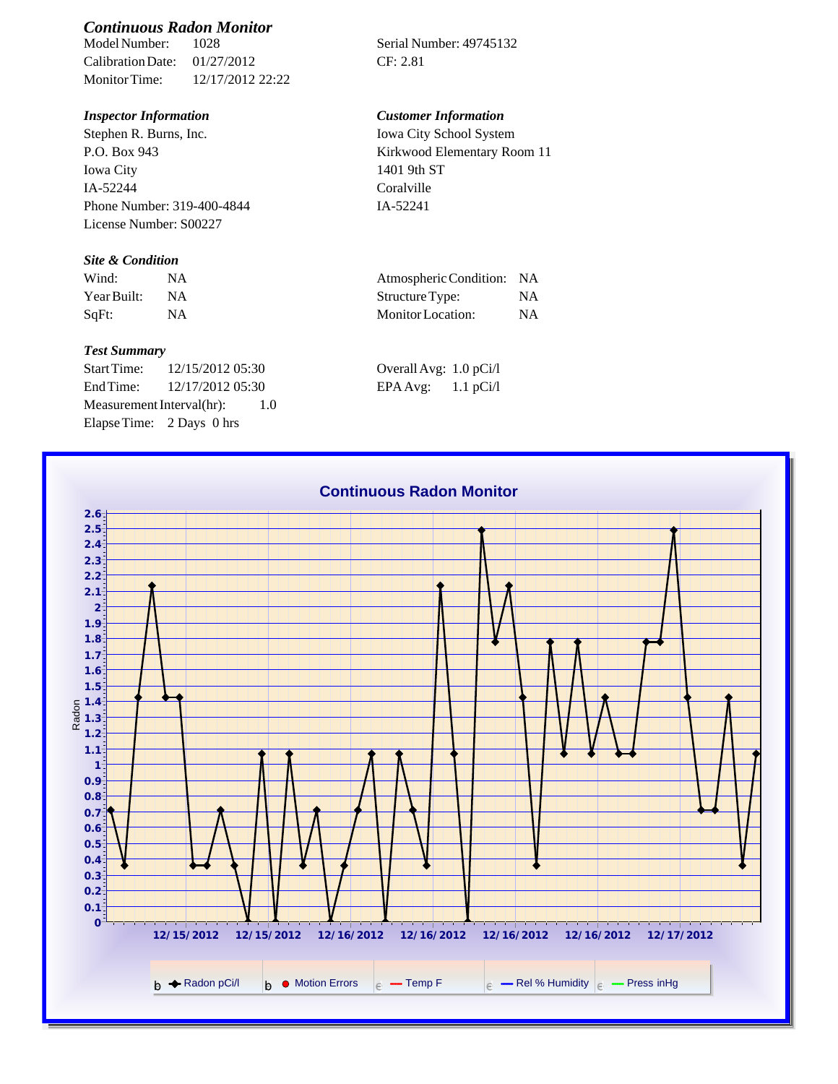# *Continuous Radon Monitor*

Calibration Date: 01/27/2012 CF: 2.81 Monitor Time: 12/17/2012 22:22

Stephen R. Burns, Inc. P.O. Box 943 Iowa City IA-52244 Phone Number: 319-400-4844 License Number: S00227

### *Site & Condition*

| Wind:       | Atmospheric Condition: NA |    |
|-------------|---------------------------|----|
| Year Built: | Structure Type:           | ΝA |
| SqFt:       | Monitor Location:         | ΝA |

#### *Test Summary*

Start Time: 12/15/2012 05:30 Overall Avg: 1.0 pCi/l End Time: 12/17/2012 05:30 EPA Avg: 1.1 pCi/l Measurement Interval(hr): 1.0 Elapse Time: 2 Days 0 hrs

Serial Number: 49745132

## *Inspector Information Customer Information*

Iowa City School System Kirkwood Elementary Room 11 1401 9th ST Coralville IA-52241

| Atmospheric Condition:   | -NA       |
|--------------------------|-----------|
| Structure Type:          | <b>NA</b> |
| <b>Monitor</b> Location: | <b>NA</b> |

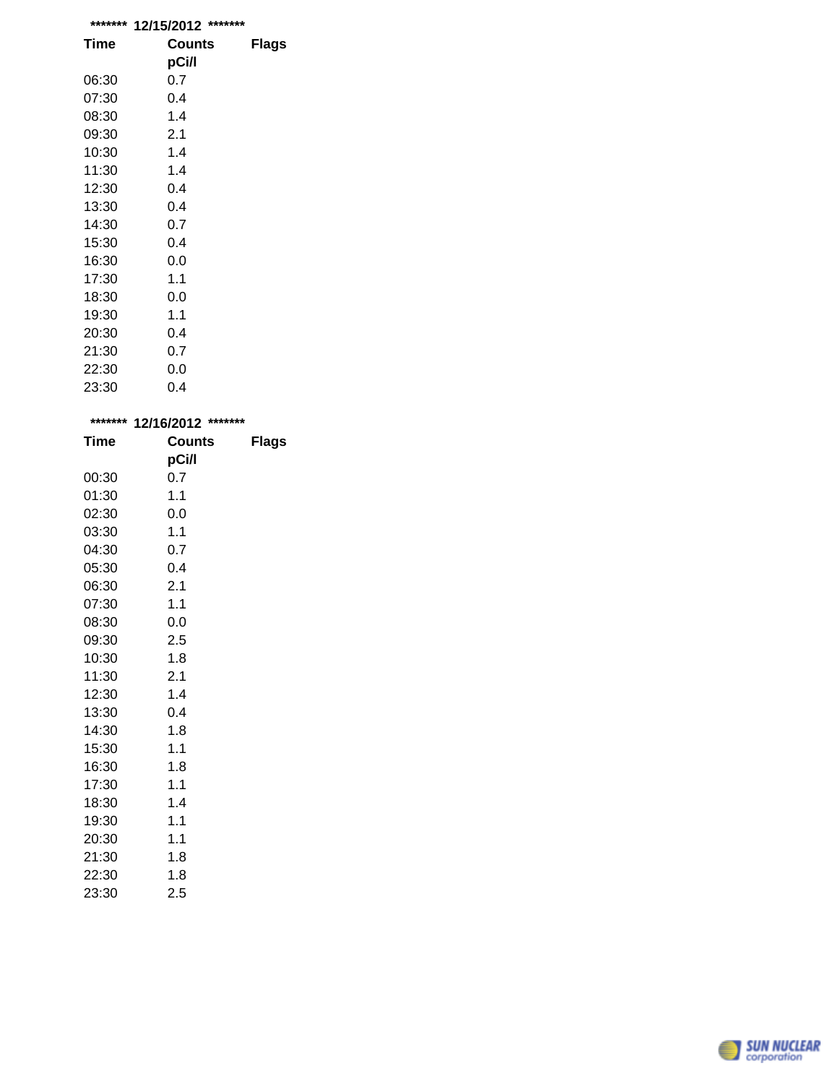| ******* | *******<br>12/15/2012 |       |
|---------|-----------------------|-------|
| Time    | Counts                | Flags |
|         | pCi/l                 |       |
| 06:30   | 0.7                   |       |
| 07:30   | 0.4                   |       |
| 08:30   | 1.4                   |       |
| 09:30   | 2.1                   |       |
| 10:30   | 1.4                   |       |
| 11:30   | 1.4                   |       |
| 12:30   | 0.4                   |       |
| 13:30   | 0.4                   |       |
| 14:30   | 0.7                   |       |
| 15:30   | 0.4                   |       |
| 16:30   | 0.0                   |       |
| 17:30   | 1.1                   |       |
| 18:30   | 0.0                   |       |
| 19:30   | 1.1                   |       |
| 20:30   | 0.4                   |       |
| 21:30   | 0.7                   |       |
| 22:30   | 0.0                   |       |
| 23:30   | 0.4                   |       |

| *******     | 12/16/2012 ******* |              |  |
|-------------|--------------------|--------------|--|
| <b>Time</b> | <b>Counts</b>      | <b>Flags</b> |  |
|             | pCi/l              |              |  |
| 00:30       | 0.7                |              |  |
| 01:30       | 1.1                |              |  |
| 02:30       | 0.0                |              |  |
| 03:30       | 1.1                |              |  |
| 04:30       | 0.7                |              |  |
| 05:30       | 0.4                |              |  |
| 06:30       | 2.1                |              |  |
| 07:30       | 1.1                |              |  |
| 08:30       | 0.0                |              |  |
| 09:30       | 2.5                |              |  |
| 10:30       | 1.8                |              |  |
| 11:30       | 2.1                |              |  |
| 12:30       | 1.4                |              |  |
| 13:30       | 0.4                |              |  |
| 14:30       | 1.8                |              |  |
| 15:30       | 1.1                |              |  |
| 16:30       | 1.8                |              |  |
| 17:30       | 1.1                |              |  |
| 18:30       | 1.4                |              |  |
| 19:30       | 1.1                |              |  |
| 20:30       | 1.1                |              |  |
| 21:30       | 1.8                |              |  |
| 22:30       | 1.8                |              |  |
| 23:30       | 2.5                |              |  |